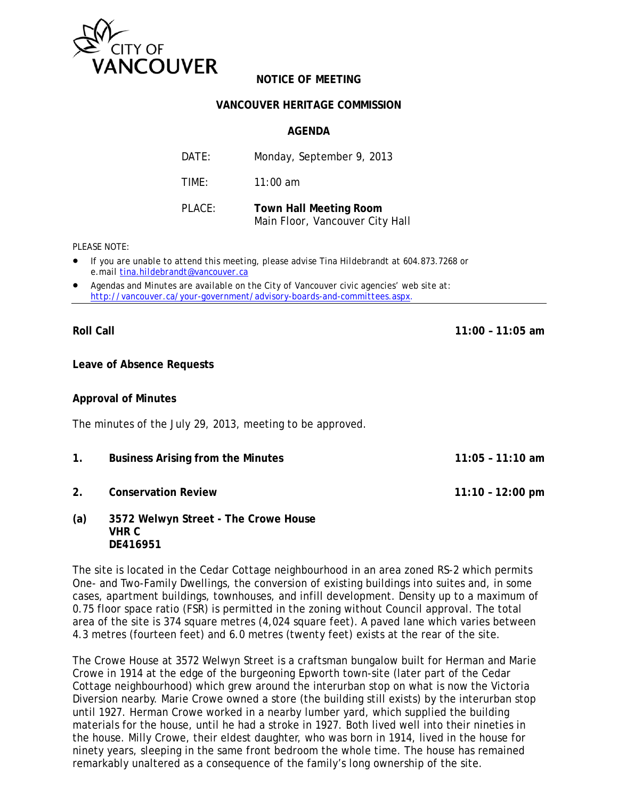

# **NOTICE OF MEETING**

### **VANCOUVER HERITAGE COMMISSION**

## **AGENDA**

| DATE:  | Monday, September 9, 2013                                        |
|--------|------------------------------------------------------------------|
| TIME:  | $11:00$ am                                                       |
| PLACE: | <b>Town Hall Meeting Room</b><br>Main Floor, Vancouver City Hall |

### *PLEASE NOTE:*

- *If you are unable to attend this meeting, please advise Tina Hildebrandt at 604.873.7268 or e.mail tina.hildebrandt@vancouver.ca*
- *Agendas and Minutes are available on the City of Vancouver civic agencies' web site at: http://vancouver.ca/your-government/advisory-boards-and-committees.aspx*.

**Roll Call 11:00 – 11:05 am** 

**Leave of Absence Requests** 

### **Approval of Minutes**

The minutes of the July 29, 2013, meeting to be approved.

- **1. Business Arising from the Minutes 11:05 11:10 am**
- **2. Conservation Review 11:10 12:00 pm**
- **(a) 3572 Welwyn Street The Crowe House VHR C DE416951**

The site is located in the Cedar Cottage neighbourhood in an area zoned RS-2 which permits One- and Two-Family Dwellings, the conversion of existing buildings into suites and, in some cases, apartment buildings, townhouses, and infill development. Density up to a maximum of 0.75 floor space ratio (FSR) is permitted in the zoning without Council approval. The total area of the site is 374 square metres (4,024 square feet). A paved lane which varies between 4.3 metres (fourteen feet) and 6.0 metres (twenty feet) exists at the rear of the site.

The Crowe House at 3572 Welwyn Street is a craftsman bungalow built for Herman and Marie Crowe in 1914 at the edge of the burgeoning Epworth town-site (later part of the Cedar Cottage neighbourhood) which grew around the interurban stop on what is now the Victoria Diversion nearby. Marie Crowe owned a store (the building still exists) by the interurban stop until 1927. Herman Crowe worked in a nearby lumber yard, which supplied the building materials for the house, until he had a stroke in 1927. Both lived well into their nineties in the house. Milly Crowe, their eldest daughter, who was born in 1914, lived in the house for ninety years, sleeping in the same front bedroom the whole time. The house has remained remarkably unaltered as a consequence of the family's long ownership of the site.